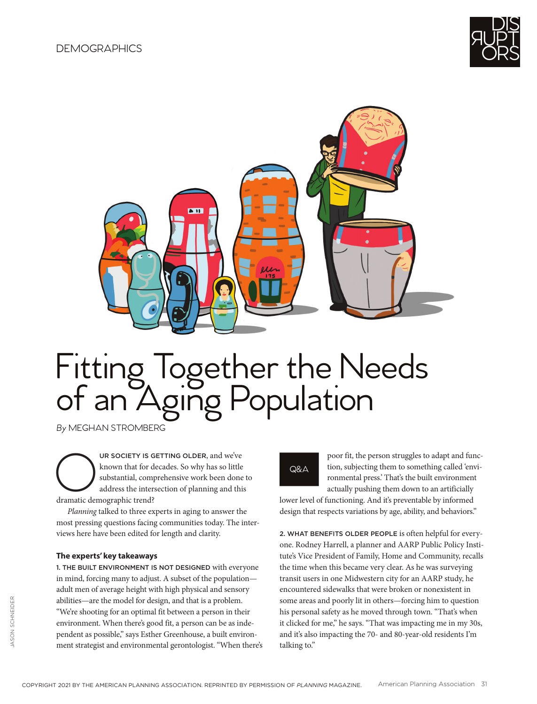



# Fitting Together the Needs of an Aging Population

*By* MEGHAN STROMBERG

UR SOCIETY IS GETTING OLDER, and we've known that for decades. So why has so little substantial, comprehensive work been done address the intersection of planning and this dramatic demographic trend? known that for decades. So why has so little substantial, comprehensive work been done to address the intersection of planning and this dramatic demographic trend?

*Planning* talked to three experts in aging to answer the most pressing questions facing communities today. The interviews here have been edited for length and clarity.

#### **The experts' key takeaways**

1. THE BUILT ENVIRONMENT IS NOT DESIGNED with everyone in mind, forcing many to adjust. A subset of the population adult men of average height with high physical and sensory abilities—are the model for design, and that is a problem. "We're shooting for an optimal fit between a person in their environment. When there's good fit, a person can be as independent as possible," says Esther Greenhouse, a built environment strategist and environmental gerontologist. "When there's

## Q&A

poor fit, the person struggles to adapt and function, subjecting them to something called 'environmental press.' That's the built environment actually pushing them down to an artificially

lower level of functioning. And it's preventable by informed design that respects variations by age, ability, and behaviors."

2. WHAT BENEFITS OLDER PEOPLE is often helpful for everyone. Rodney Harrell, a planner and AARP Public Policy Institute's Vice President of Family, Home and Community, recalls the time when this became very clear. As he was surveying transit users in one Midwestern city for an AARP study, he encountered sidewalks that were broken or nonexistent in some areas and poorly lit in others—forcing him to question his personal safety as he moved through town. "That's when it clicked for me," he says. "That was impacting me in my 30s, and it's also impacting the 70- and 80-year-old residents I'm talking to."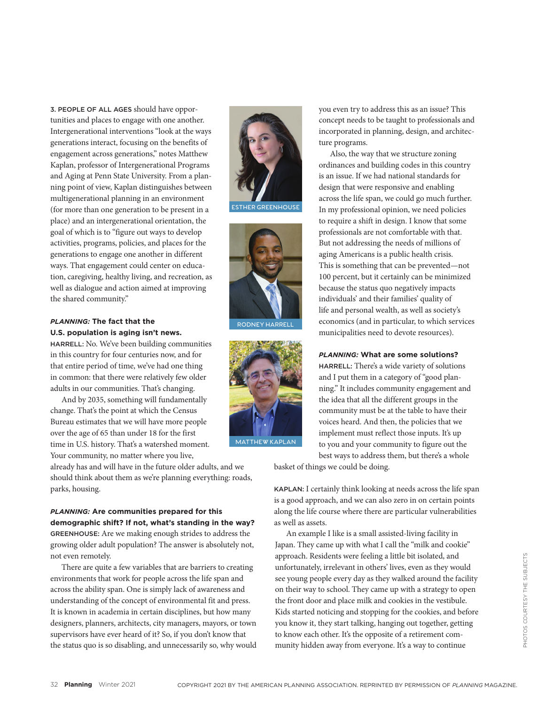3. PEOPLE OF ALL AGES should have opportunities and places to engage with one another. Intergenerational interventions "look at the ways generations interact, focusing on the benefits of engagement across generations," notes Matthew Kaplan, professor of Intergenerational Programs and Aging at Penn State University. From a planning point of view, Kaplan distinguishes between multigenerational planning in an environment (for more than one generation to be present in a place) and an intergenerational orientation, the goal of which is to "figure out ways to develop activities, programs, policies, and places for the generations to engage one another in different ways. That engagement could center on education, caregiving, healthy living, and recreation, as well as dialogue and action aimed at improving the shared community."

## *PLANNING:* **The fact that the U.S. population is aging isn't news.**

HARRELL: No. We've been building communities in this country for four centuries now, and for that entire period of time, we've had one thing in common: that there were relatively few older adults in our communities. That's changing.

And by 2035, something will fundamentally change. That's the point at which the Census Bureau estimates that we will have more people over the age of 65 than under 18 for the first time in U.S. history. That's a watershed moment. Your community, no matter where you live,

already has and will have in the future older adults, and we should think about them as we're planning everything: roads, parks, housing.

*PLANNING:* **Are communities prepared for this demographic shift? If not, what's standing in the way?** GREENHOUSE: Are we making enough strides to address the growing older adult population? The answer is absolutely not, not even remotely.

There are quite a few variables that are barriers to creating environments that work for people across the life span and across the ability span. One is simply lack of awareness and understanding of the concept of environmental fit and press. It is known in academia in certain disciplines, but how many designers, planners, architects, city managers, mayors, or town supervisors have ever heard of it? So, if you don't know that the status quo is so disabling, and unnecessarily so, why would



**ESTHER GREENHOUSE**



**RODNEY HARRELL**



**MATTHEW KAPLAN**

you even try to address this as an issue? This concept needs to be taught to professionals and incorporated in planning, design, and architecture programs.

Also, the way that we structure zoning ordinances and building codes in this country is an issue. If we had national standards for design that were responsive and enabling across the life span, we could go much further. In my professional opinion, we need policies to require a shift in design. I know that some professionals are not comfortable with that. But not addressing the needs of millions of aging Americans is a public health crisis. This is something that can be prevented—not 100 percent, but it certainly can be minimized because the status quo negatively impacts individuals' and their families' quality of life and personal wealth, as well as society's economics (and in particular, to which services municipalities need to devote resources).

*PLANNING:* **What are some solutions?**

HARRELL: There's a wide variety of solutions and I put them in a category of "good planning." It includes community engagement and the idea that all the different groups in the community must be at the table to have their voices heard. And then, the policies that we implement must reflect those inputs. It's up to you and your community to figure out the best ways to address them, but there's a whole

basket of things we could be doing.

KAPLAN: I certainly think looking at needs across the life span is a good approach, and we can also zero in on certain points along the life course where there are particular vulnerabilities as well as assets.

An example I like is a small assisted-living facility in Japan. They came up with what I call the "milk and cookie" approach. Residents were feeling a little bit isolated, and unfortunately, irrelevant in others' lives, even as they would see young people every day as they walked around the facility on their way to school. They came up with a strategy to open the front door and place milk and cookies in the vestibule. Kids started noticing and stopping for the cookies, and before you know it, they start talking, hanging out together, getting to know each other. It's the opposite of a retirement community hidden away from everyone. It's a way to continue